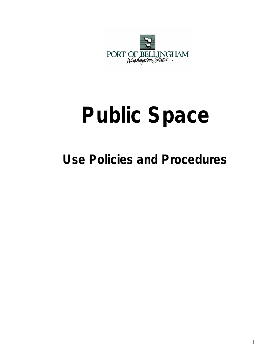

# **Public Space**

# **Use Policies and Procedures**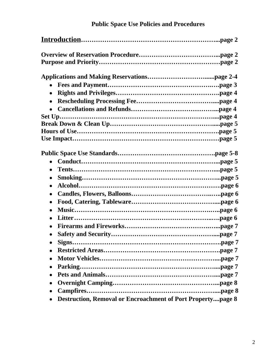| $\bullet$<br>$\bullet$<br>$\bullet$                                             |  |
|---------------------------------------------------------------------------------|--|
| $\bullet$<br>$\bullet$                                                          |  |
| $\bullet$                                                                       |  |
|                                                                                 |  |
| $\bullet$<br><b>Destruction, Removal or Encroachment of Port Propertypage 8</b> |  |

## **Public Space Use Policies and Procedures**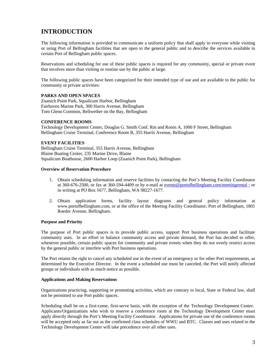### **INTRODUCTION**

The following information is provided to communicate a uniform policy that shall apply to everyone while visiting or using Port of Bellingham facilities that are open to the general public and to describe the services available in certain Port of Bellingham public spaces.

Reservations and scheduling for use of these public spaces is required for any community, special or private event that involves more than visiting or routine use by the public at large.

The following public spaces have been categorized for their intended type of use and are available to the public for community or private activities:

#### **PARKS AND OPEN SPACES**

Zuanich Point Park, Squalicum Harbor, Bellingham Fairhaven Marine Park, 300 Harris Avenue, Bellingham Tom Glenn Common, Bellwether on the Bay, Bellingham

#### **CONFERENCE ROOMS**

Technology Development Center, Douglas G. Smith Conf. Rm and Room A, 1000 F Street, Bellingham Bellingham Cruise Terminal, Conference Room B, 355 Harris Avenue, Bellingham

#### **EVENT FACILITIES**

Bellingham Cruise Terminal, 355 Harris Avenue, Bellingham Blaine Boating Center, 235 Marine Drive, Blaine Squalicum Boathouse, 2600 Harbor Loop (Zuanich Point Park), Bellingham

#### **Overview of Reservation Procedure**

- 1. Obtain scheduling information and reserve facilities by contacting the Port's Meeting Facility Coordinator at 360-676-2500, or fax at 360-594-4409 or by e-mail at [events@portofbellingham.com/meetingrental](mailto:events@portofbellingham.com/meetingrental) ; or in writing at PO Box 1677, Bellingham, WA 98227-1677.
- 2. Obtain application forms, facility layout diagrams and general policy information at www.portofbellingham.com, or at the office of the Meeting Facility Coordinator, Port of Bellingham, 1801 Roeder Avenue, Bellingham.

#### **Purpose and Priority**

The purpose of Port public spaces is to provide public access, support Port business operations and facilitate community uses. In an effort to balance community access and private demand, the Port has decided to offer, whenever possible, certain public spaces for community and private events when they do not overly restrict access by the general public or interfere with Port business operations.

The Port retains the right to cancel any scheduled use in the event of an emergency or for other Port requirements, as determined by the Executive Director. In the event a scheduled use must be canceled, the Port will notify affected groups or individuals with as much notice as possible.

#### **Applications and Making Reservations**

Organizations practicing, supporting or promoting activities, which are contrary to local, State or Federal law, shall not be permitted to use Port public spaces.

Scheduling shall be on a first-come, first-serve basis, with the exception of the Technology Development Center. Applicants/Organizations who wish to reserve a conference room at the Technology Development Center must apply directly through the Port's Meeting Facility Coordinator. Applications for private use of the conference rooms will be accepted only as far out as the confirmed class schedules of WWU and BTC. Classes and uses related to the Technology Development Center will take precedence over all other uses.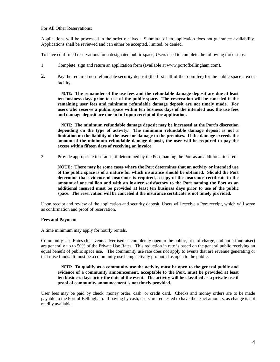#### For All Other Reservations:

Applications will be processed in the order received. Submittal of an application does not guarantee availability. Applications shall be reviewed and can either be accepted, limited, or denied.

To have confirmed reservations for a designated public space, Users need to complete the following three steps:

- 1. Complete, sign and return an application form (available at www.portofbellingham.com).
- 2. Pay the required non-refundable security deposit (the first half of the room fee) for the public space area or facility.

**NOTE: The remainder of the use fees and the refundable damage deposit are due at least ten business days prior to use of the public space. The reservation will be canceled if the remaining user fees and minimum refundable damage deposit are not timely made. For users who reserve a public space within ten business days of the intended use, the use fees and damage deposit are due in full upon receipt of the application.**

**NOTE: The minimum refundable damage deposit may be increased at the Port's discretion depending on the type of activity. The minimum refundable damage deposit is not a limitation on the liability of the user for damage to the premises. If the damage exceeds the amount of the minimum refundable damage deposit, the user will be required to pay the excess within fifteen days of receiving an invoice.**

3. Provide appropriate insurance, if determined by the Port, naming the Port as an additional insured.

**NOTE: There may be some cases where the Port determines that an activity or intended use of the public space is of a nature for which insurance should be obtained. Should the Port determine that evidence of insurance is required, a copy of the insurance certificate in the amount of one million and with an insurer satisfactory to the Port naming the Port as an additional insured must be provided at least ten business days prior to use of the public space. The reservation will be canceled if the insurance certificate is not timely provided.**

Upon receipt and review of the application and security deposit, Users will receive a Port receipt, which will serve as confirmation and proof of reservation.

#### **Fees and Payment**

A time minimum may apply for hourly rentals.

Community Use Rates (for events advertised as completely open to the public, free of charge, and not a fundraiser) are generally up to 50% of the Private Use Rates. This reduction in rate is based on the general public receiving an equal benefit of public space use. The community use rate does not apply to events that are revenue generating or that raise funds. It must be a community use being actively promoted as open to the public.

#### **NOTE: To qualify as a community use the activity must be open to the general public and evidence of a community announcement, acceptable to the Port, must be provided at least** ten business days prior the date of the event. The activity will be classified as a private use if **proof of community announcement is not timely provided.**

User fees may be paid by check, money order, cash, or credit card. Checks and money orders are to be made payable to the Port of Bellingham. If paying by cash, users are requested to have the exact amounts, as change is not readily available.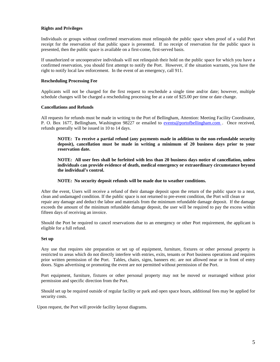#### **Rights and Privileges**

Individuals or groups without confirmed reservations must relinquish the public space when proof of a valid Port receipt for the reservation of that public space is presented. If no receipt of reservation for the public space is presented, then the public space is available on a first-come, first-served basis.

If unauthorized or uncooperative individuals will not relinquish their hold on the public space for which you have a confirmed reservation, you should first attempt to notify the Port. However, if the situation warrants, you have the right to notify local law enforcement. In the event of an emergency, call 911.

#### **Rescheduling Processing Fee**

Applicants will not be charged for the first request to reschedule a single time and/or date; however, multiple schedule changes will be charged a rescheduling processing fee at a rate of \$25.00 per time or date change.

#### **Cancellations and Refunds**

All requests for refunds must be made in writing to the Port of Bellingham, Attention: Meeting Facility Coordinator, P. O. Box 1677, Bellingham, Washington 98227 or emailed to [events@portofbellingham.com](mailto:events@portofbellingham.com). Once received, refunds generally will be issued in 10 to 14 days.

**NOTE: To receive a partial refund (any payments made in addition to the non-refundable security deposit), cancellation must be made in writing a minimum of 20 business days prior to your reservation date.**

**NOTE: All user fees shall be forfeited with less than 20 business days notice of cancellation, unless individuals can provide evidence of death, medical emergency or extraordinary circumstance beyond the individual's control.** 

#### **NOTE: No security deposit refunds will be made due to weather conditions.**

After the event, Users will receive a refund of their damage deposit upon the return of the public space to a neat, clean and undamaged condition. If the public space is not returned to pre-event condition, the Port will clean or repair any damage and deduct the labor and materials from the minimum refundable damage deposit. If the damage exceeds the amount of the minimum refundable damage deposit, the user will be required to pay the excess within fifteen days of receiving an invoice.

Should the Port be required to cancel reservations due to an emergency or other Port requirement, the applicant is eligible for a full refund.

#### **Set up**

Any use that requires site preparation or set up of equipment, furniture, fixtures or other personal property is restricted to areas which do not directly interfere with entries, exits, tenants or Port business operations and requires prior written permission of the Port. Tables, chairs, signs, banners etc. are not allowed near or in front of entry doors. Signs advertising or promoting the event are not permitted without permission of the Port.

Port equipment, furniture, fixtures or other personal property may not be moved or rearranged without prior permission and specific direction from the Port.

Should set up be required outside of regular facility or park and open space hours, additional fees may be applied for security costs.

Upon request, the Port will provide facility layout diagrams.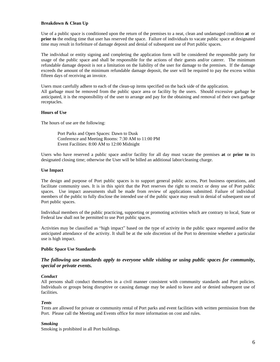#### **Breakdown & Clean Up**

Use of a public space is conditioned upon the return of the premises to a neat, clean and undamaged condition **at** or **prior** to the ending time that user has reserved the space. Failure of individuals to vacate public space at designated time may result in forfeiture of damage deposit and denial of subsequent use of Port public spaces.

The individual or entity signing and completing the application form will be considered the responsible party for usage of the public space and shall be responsible for the actions of their guests and/or caterer. The minimum refundable damage deposit is not a limitation on the liability of the user for damage to the premises. If the damage exceeds the amount of the minimum refundable damage deposit, the user will be required to pay the excess within fifteen days of receiving an invoice.

Users must carefully adhere to each of the clean-up items specified on the back side of the application. All garbage must be removed from the public space area or facility by the users. Should excessive garbage be anticipated, it is the responsibility of the user to arrange and pay for the obtaining and removal of their own garbage receptacles.

#### **Hours of Use**

The hours of use are the following:

Port Parks and Open Spaces: Dawn to Dusk Conference and Meeting Rooms: 7:30 AM to 11:00 PM Event Facilities: 8:00 AM to 12:00 Midnight

Users who have reserved a public space and/or facility for all day must vacate the premises **at** or **prior to** its designated closing time; otherwise the User will be billed an additional labor/cleaning charge.

#### **Use Impact**

The design and purpose of Port public spaces is to support general public access, Port business operations, and facilitate community uses. It is in this spirit that the Port reserves the right to restrict or deny use of Port public spaces. Use impact assessments shall be made from review of applications submitted. Failure of individual members of the public to fully disclose the intended use of the public space may result in denial of subsequent use of Port public spaces.

Individual members of the public practicing, supporting or promoting activities which are contrary to local, State or Federal law shall not be permitted to use Port public spaces.

Activities may be classified as "high impact" based on the type of activity in the public space requested and/or the anticipated attendance of the activity. It shall be at the sole discretion of the Port to determine whether a particular use is high impact.

#### **Public Space Use Standards**

#### *The following use standards apply to everyone while visiting or using public spaces for community, special or private events.*

#### *Conduct*

All persons shall conduct themselves in a civil manner consistent with community standards and Port policies. Individuals or groups being disruptive or causing damage may be asked to leave and or denied subsequent use of facilities.

#### *Tents*

Tents are allowed for private or community rental of Port parks and event facilities with written permission from the Port. Please call the Meeting and Events office for more information on cost and rules.

#### *Smoking*

Smoking is prohibited in all Port buildings.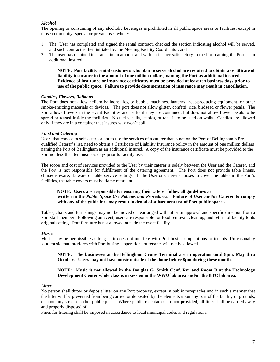#### *Alcohol*

The opening or consuming of any alcoholic beverages is prohibited in all public space areas or facilities, except in those community, special or private uses where:

- 1. The User has completed and signed the rental contract, checked the section indicating alcohol will be served, and such contract is then initialed by the Meeting Facility Coordinator, and
- 2. The user has obtained insurance in an amount and with an insurer satisfactory to the Port naming the Port as an additional insured.

**NOTE: Port facility rental customers who plan to serve alcohol are required to obtain a certificate of liability insurance in the amount of one million dollars, naming the Port as additional insured. Evidence of insurance or insurance certificates must be provided at least ten business days prior to use of the public space. Failure to provide documentation of insurance may result in cancellation.**

#### *Candles, Flowers, Balloons*

The Port does not allow helium balloons, fog or bubble machines, lanterns, heat-producing equipment, or other smoke-emitting materials or devices. The port does not allow glitter, confetti, rice, birdseed or flower petals. The Port allows flowers in the Event Facilities and parks if they are contained, but does not allow flower petals to be spread or tossed inside the facilities. No tacks, nails, staples, or tape is to be used on walls. Candles are allowed only if they are in a container that insures wax won't spill.

#### *Food and Catering*

Users that choose to self-cater, or opt to use the services of a caterer that is not on the Port of Bellingham's Prequalified Caterer's list, need to obtain a Certificate of Liability Insurance policy in the amount of one million dollars naming the Port of Bellingham as an additional insured. A copy of the insurance certificate must be provided to the Port not less than ten business days prior to facility use.

The scope and cost of services provided to the User by their caterer is solely between the User and the Caterer, and the Port is not responsible for fulfillment of the catering agreement. The Port does not provide table linens, china/dishware, flatware or table service settings. If the User or Caterer chooses to cover the tables in the Port's facilities, the table covers must be flame retardant.

#### **NOTE: Users are responsible for ensuring their caterer follow all guidelines as written in the** *Public Space Use Policies and Procedures***. Failure of User and/or Caterer to comply with any of the guidelines may result in denial of subsequent use of Port public spaces.**

Tables, chairs and furnishings may not be moved or rearranged without prior approval and specific direction from a Port staff member. Following an event, users are responsible for food removal, clean up, and return of facility to its original setting. Port furniture is not allowed outside the event facility.

#### *Music*

Music may be permissible as long as it does not interfere with Port business operations or tenants. Unreasonably loud music that interferes with Port business operations or tenants will not be allowed.

#### **NOTE: The businesses at the Bellingham Cruise Terminal are in operation until 8pm, May thru October. Users may not have music outside of the dome before 8pm during these months.**

#### **NOTE: Music is not allowed in the Douglas G. Smith Conf. Rm and Room B at the Technology Development Center while class is in session in the WWU lab area and/or the BTC lab area.**

#### *Litter*

No person shall throw or deposit litter on any Port property, except in public receptacles and in such a manner that the litter will be prevented from being carried or deposited by the elements upon any part of the facility or grounds, or upon any street or other public place. Where public receptacles are not provided, all litter shall be carried away and properly disposed of.

Fines for littering shall be imposed in accordance to local municipal codes and regulations.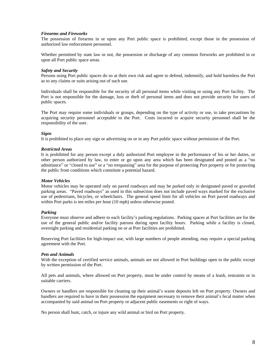#### *Firearms and Fireworks*

The possession of firearms in or upon any Port public space is prohibited, except those in the possession of authorized law enforcement personnel.

Whether permitted by state law or not, the possession or discharge of any common fireworks are prohibited in or upon all Port public space areas.

#### *Safety and Security*

Persons using Port public spaces do so at their own risk and agree to defend, indemnify, and hold harmless the Port as to any claims or suits arising out of such use.

Individuals shall be responsible for the security of all personal items while visiting or using any Port facility. The Port is not responsible for the damage, loss or theft of personal items and does not provide security for users of public spaces.

The Port may require some individuals or groups, depending on the type of activity or use, to take precautions by acquiring security personnel acceptable to the Port. Costs incurred to acquire security personnel shall be the responsibility of the user.

#### *Signs*

It is prohibited to place any sign or advertising on or in any Port public space without permission of the Port.

#### *Restricted Areas*

It is prohibited for any person except a duly authorized Port employee in the performance of his or her duties, or other person authorized by law, to enter or go upon any area which has been designated and posted as a "no admittance" or "closed to use" or a "no trespassing" area for the purpose of protecting Port property or for protecting the public from conditions which constitute a potential hazard.

#### *Motor Vehicles*

Motor vehicles may be operated only on paved roadways and may be parked only in designated paved or graveled parking areas. "Paved roadways" as used in this subsection does not include paved ways marked for the exclusive use of pedestrians, bicycles, or wheelchairs. The general speed limit for all vehicles on Port paved roadways and within Port parks is ten miles per hour (10 mph) unless otherwise posted.

#### *Parking*

Everyone must observe and adhere to each facility's parking regulations. Parking spaces at Port facilities are for the use of the general public and/or facility patrons during open facility hours. Parking while a facility is closed, overnight parking and residential parking on or at Port facilities are prohibited.

Reserving Port facilities for high-impact use, with large numbers of people attending, may require a special parking agreement with the Port.

#### *Pets and Animals*

With the exception of certified service animals, animals are not allowed in Port buildings open to the public except by written permission of the Port.

All pets and animals, where allowed on Port property, must be under control by means of a leash, restraints or in suitable carriers.

Owners or handlers are responsible for cleaning up their animal's waste deposits left on Port property. Owners and handlers are required to have in their possession the equipment necessary to remove their animal's fecal matter when accompanied by said animal on Port property or adjacent public easements or right of ways.

No person shall hunt, catch, or injure any wild animal or bird on Port property.